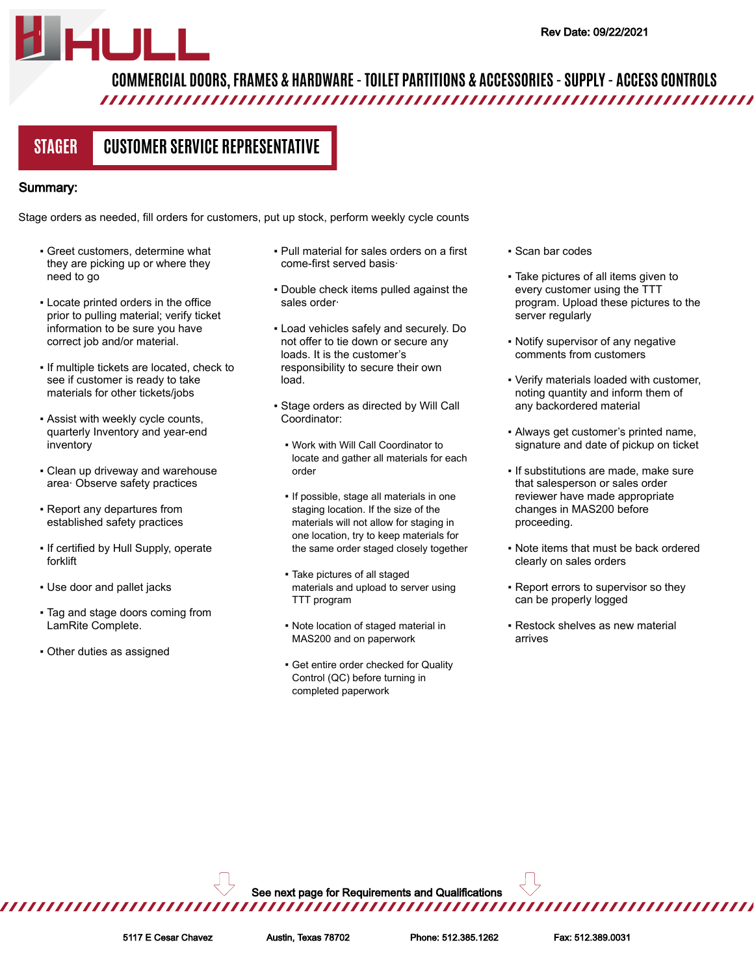# **COMMERCIAL DOORS, FRAMES & HARDWARE - TOILET PARTITIONS & ACCESSORIES - SUPPLY - ACCESS CONTROLS**

**STAGER CUSTOMER SERVICE REPRESENTATIVE**

#### Summary:

Stage orders as needed, fill orders for customers, put up stock, perform weekly cycle counts

- Greet customers, determine what they are picking up or where they need to go
- Locate printed orders in the office prior to pulling material; verify ticket information to be sure you have correct job and/or material.
- If multiple tickets are located, check to see if customer is ready to take materials for other tickets/jobs
- **Assist with weekly cycle counts,** quarterly Inventory and year-end inventory
- Clean up driveway and warehouse area· Observe safety practices
- Report any departures from established safety practices
- If certified by Hull Supply, operate forklift
- Use door and pallet jacks
- Tag and stage doors coming from LamRite Complete.
- Other duties as assigned
- Pull material for sales orders on a first come-first served basis·
- Double check items pulled against the sales order·
- Load vehicles safely and securely. Do not offer to tie down or secure any loads. It is the customer's responsibility to secure their own load.
- Stage orders as directed by Will Call Coordinator:
	- Work with Will Call Coordinator to locate and gather all materials for each order
	- **.** If possible, stage all materials in one staging location. If the size of the materials will not allow for staging in one location, try to keep materials for the same order staged closely together
	- Take pictures of all staged materials and upload to server using TTT program
	- Note location of staged material in MAS200 and on paperwork
	- **Get entire order checked for Quality** Control (QC) before turning in completed paperwork
- Scan bar codes
- Take pictures of all items given to every customer using the TTT program. Upload these pictures to the server regularly
- Notify supervisor of any negative comments from customers
- Verify materials loaded with customer, noting quantity and inform them of any backordered material
- Always get customer's printed name, signature and date of pickup on ticket
- **.** If substitutions are made, make sure that salesperson or sales order reviewer have made appropriate changes in MAS200 before proceeding.
- Note items that must be back ordered clearly on sales orders
- **Report errors to supervisor so they** can be properly logged
- Restock shelves as new material arrives

See next page for Requirements and Qualifications